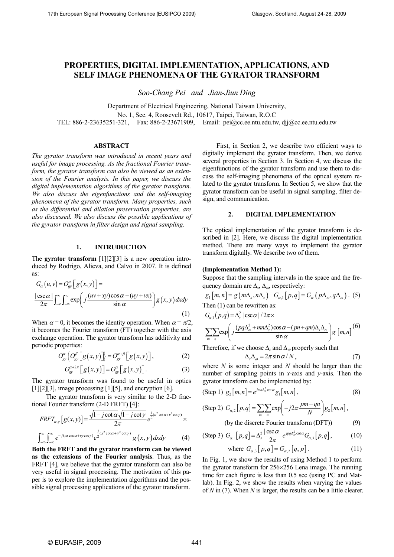# **PROPERTIES, DIGITAL IMPLEMENTATION, APPLICATIONS, AND SELF IMAGE PHENOMENA OF THE GYRATOR TRANSFORM**

*Soo-Chang Pei and Jian-Jiun Ding* 

Department of Electrical Engineering, National Taiwan University, No. 1, Sec. 4, Roosevelt Rd., 10617, Taipei, Taiwan, R.O.C TEL: 886-2-23635251-321, Fax: 886-2-23671909, Email: pei@cc.ee.ntu.edu.tw, djj@cc.ee.ntu.edu.tw

## **ABSTRACT**

*The gyrator transform was introduced in recent years and useful for image processing. As the fractional Fourier transform, the gyrator transform can also be viewed as an extension of the Fourier analysis. In this paper, we discuss the digital implementation algorithms of the gyrator transform. We also discuss the eigenfunctions and the self-imaging phenomena of the gyrator transform. Many properties, such as the differential and dilation preservation properties, are also discussed. We also discuss the possible applications of the gyrator transform in filter design and signal sampling.* 

#### **1. INTRUDUCTION**

The **gyrator transform** [1][2][3] is a new operation introduced by Rodrigo, Alieva, and Calvo in 2007. It is defined as:

$$
G_{\alpha}(u,v) = O_{\text{gv}}^{\alpha} \left[ g(x,y) \right] =
$$
  

$$
\frac{|\csc \alpha|}{2\pi} \int_{-\infty}^{\infty} \int_{-\infty}^{\infty} \exp\left( j \frac{(uv+xy)\cos \alpha - (uy+vx)}{\sin \alpha} \right) g(x,y) dx dy
$$
  
(1)

When  $\alpha = 0$ , it becomes the identity operation. When  $\alpha = \pi/2$ , it becomes the Fourier transform (FT) together with the axis exchange operation. The gyrator transform has additivity and periodic properties:

$$
O_{\rm gv}^{\alpha}\left\{O_{\rm gv}^{\beta}\left[g(x,y)\right]\right\}=O_{\rm gv}^{\alpha+\beta}\left[g(x,y)\right],\tag{2}
$$

$$
O_{\mathcal{S}'}^{\alpha+2\pi} \big[ g(x,y) \big] = O_{\mathcal{S}'}^{\alpha} \big[ g(x,y) \big]. \tag{3}
$$

The gyrator transform was found to be useful in optics  $[1][2][3]$ , image processing  $[1][5]$ , and encryption  $[6]$ .

The gyrator transform is very similar to the 2-D fractional Fourier transform (2-D FRFT) [4]:

$$
FRFT_{\alpha,y}[g(x,y)] = \frac{\sqrt{1-j\cot\alpha}\sqrt{1-j\cot\gamma}}{2\pi}e^{\frac{j}{2}(u^2\cot\alpha+v^2\cot\gamma)} \times
$$

$$
\int_{-\infty}^{\infty}\int_{-\infty}^{\infty}e^{-j(u\csc\alpha+vy\csc\gamma)}e^{\frac{j}{2}(x^2\cot\alpha+y^2\cot\gamma)}g(x,y)dxdy \qquad (4)
$$

**Both the FRFT and the gyrator transform can be viewed as the extensions of the Fourier analysis**. Thus, as the FRFT [4], we believe that the gyrator transform can also be very useful in signal processing. The motivation of this paper is to explore the implementation algorithms and the possible signal processing applications of the gyrator transform.

First, in Section 2, we describe two efficient ways to digitally implement the gyrator transform. Then, we derive several properties in Section 3. In Section 4, we discuss the eigenfunctions of the gyrator transform and use them to discuss the self-imaging phenomena of the optical system related to the gyrator transform. In Section 5, we show that the gyrator transform can be useful in signal sampling, filter design, and communication.

# **2. DIGITAL IMPLEMENTATION**

The optical implementation of the gyrator transform is described in [2]. Here, we discuss the digital implementation method. There are many ways to implement the gyrator transform digitally. We describe two of them.

#### **(Implementation Method 1):**

Suppose that the sampling intervals in the space and the frequency domain are  $\Delta_s$ ,  $\Delta_{\omega}$ , respectively:

$$
g_1[m,n] = g(m\Delta_s, n\Delta_s) \quad G_{\alpha,1}[p,q] = G_{\alpha}(p\Delta_{\omega}, q\Delta_{\omega}).
$$
 (5)  
Then (1) can be rewritten as:

$$
G_{\alpha,1}(p,q) = \Delta_s^2 |\csc \alpha| / 2\pi \times
$$
  

$$
\sum_{m} \sum_{n} \exp \left( j \frac{(pq\Delta_{\omega}^2 + mn\Delta_s^2)\cos \alpha - (pn + qm)\Delta_s\Delta_{\omega}}{\sin \alpha} \right) g_1[m,n]^{(6)}
$$

Therefore, if we choose  $\Delta_s$  and  $\Delta_\omega$  properly such that

$$
\Delta_s \Delta_\omega = 2\pi \sin \alpha / N \,, \tag{7}
$$

where *N* is some integer and *N* should be larger than the number of sampling points in *x*-axis and *y*-axis. Then the gyrator transform can be implemented by:

(Step 1) 
$$
g_2[m,n] = e^{jmn\Delta_s^2 \cot \alpha} g_1[m,n]
$$
, (8)

(Step 2) 
$$
G_{\alpha,2}[p,q] = \sum_{m} \sum_{n} exp(-j2\pi \frac{pm+qn}{N}) g_2[m,n],
$$
  
(by the discrete Fourier transform (DET)) (9)

(by the discrete Fourier transform (DFT) 
$$
(9)
$$

(Step 3) 
$$
G_{\alpha,1}[p,q] = \Delta_s^2 \frac{|\csc \alpha|}{2\pi} e^{ipq\Delta_\omega^2 \cot \alpha} G_{\alpha,3}[p,q],
$$
 (10)

where 
$$
G_{\alpha,3}[p,q] = G_{\alpha,2}[q,p]
$$
. (11)

In Fig. 1, we show the results of using Method 1 to perform the gyrator transform for 256×256 Lena image. The running time for each figure is less than 0.5 sec (using PC and Matlab). In Fig. 2, we show the results when varying the values of *N* in (7). When *N* is larger, the results can be a little clearer.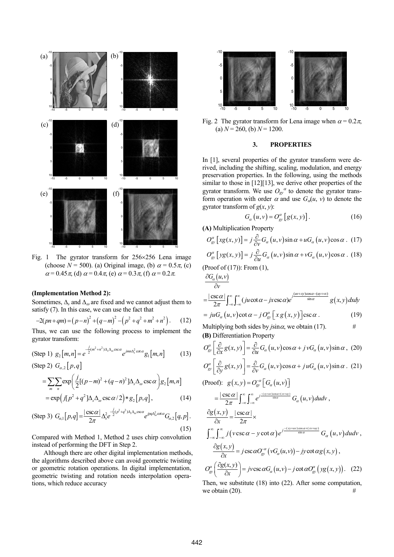

Fig. 1 The gyrator transform for 256×256 Lena image (choose  $N = 500$ ). (a) Original image, (b)  $\alpha = 0.5\pi$ . (c)  $\alpha = 0.45\pi$ , (d)  $\alpha = 0.4\pi$ , (e)  $\alpha = 0.3\pi$ , (f)  $\alpha = 0.2\pi$ .

### **(Implementation Method 2):**

Sometimes,  $\Delta_s$  and  $\Delta_{\omega}$  are fixed and we cannot adjust them to satisfy (7). In this case, we can use the fact that

$$
-2(pn+qm) = (p-n)^2 + (q-m)^2 - (p^2+q^2+m^2+n^2).
$$
 (12)

Thus, we can use the following process to implement the gyrator transform:

 $(\text{Step 1}) \ g_2[m,n] = e^{-\frac{j}{2}(m^2+n^2)\Delta_s\Delta_\omega \csc \alpha} e^{jmn\Delta_s^2 \cot \alpha} g_1[m,n]$  (13)  $(Step 2)$   $G_{\alpha}$ ,  $[p,q]$ 

$$
= \sum_{m} \sum_{n} exp\left(\frac{j}{2}[(p-m)^2 + (q-n)^2]\Delta_s\Delta_\omega \csc \alpha\right) g_2[m,n]
$$
  
=  $exp\left(j[p^2 + q^2]\Delta_s\Delta_\omega \csc \alpha/2\right) * g_2[p,q],$  (14)

(Step 3) 
$$
G_{\alpha,1}[p,q] = \frac{|\csc \alpha|}{2\pi} \Delta_s^2 e^{\frac{-j}{2}(p^2+q^2)\Delta_s\Delta_\omega \csc \alpha} e^{ipq\Delta_\omega^2 \cot \alpha} G_{\alpha,2}[q,p].
$$
 (15)

Compared with Method 1, Method 2 uses chirp convolution instead of performing the DFT in Step 2.

Although there are other digital implementation methods, the algorithms described above can avoid geometric twisting or geometric rotation operations. In digital implementation, geometric twisting and rotation needs interpolation operations, which reduce accuracy



Fig. 2 The gyrator transform for Lena image when  $\alpha = 0.2\pi$ , (a)  $N = 260$ , (b)  $N = 1200$ .

### **3. PROPERTIES**

In [1], several properties of the gyrator transform were derived, including the shifting, scaling, modulation, and energy preservation properties. In the following, using the methods similar to those in [12][13], we derive other properties of the gyrator transform. We use  $O_{gy}^{\alpha}$  to denote the gyrator transform operation with order  $\alpha$  and use  $G_{\alpha}(u, v)$  to denote the gyrator transform of  $g(x, y)$ :

$$
G_{\alpha}(u,v) = O_{\text{gy}}^{\alpha}[g(x,y)]. \qquad (16)
$$

**(A)** Multiplication Property

$$
O_{\text{gv}}^{\alpha}\left[xg(x,y)\right] = j\frac{\partial}{\partial v}G_{\alpha}\left(u,v\right)\sin\alpha + uG_{\alpha}\left(u,v\right)\cos\alpha. \tag{17}
$$

$$
O_{\text{gv}}^{\alpha} \left[ yg(x, y) \right] = j \frac{\partial}{\partial u} G_{\alpha} \left( u, v \right) \sin \alpha + v G_{\alpha} \left( u, v \right) \cos \alpha \quad (18)
$$

(Proof of (17)): From (1),

$$
\frac{\partial G_{\alpha}(u,v)}{\partial v}
$$
\n
$$
= \frac{|\csc \alpha|}{2\pi} \int_{-\infty}^{\infty} \int_{-\infty}^{\infty} (ju \cot \alpha - jx \csc \alpha) e^{j\frac{(uv + xy)\cos \alpha - (uy + \alpha x)}{\sin \alpha}} g(x, y) dx dy
$$

$$
=juG_{\alpha}(u,v)\cot\alpha - jO_{\text{gv}}^{\alpha}\big[xg(x,y)\big]\csc\alpha\,. \tag{19}
$$

Multiplying both sides by  $j\sin\alpha$ , we obtain (17). # **(B)** Differentiation Property

$$
O_{\text{gv}}^{\alpha} \left[ \frac{\partial}{\partial x} g(x, y) \right] = \frac{\partial}{\partial u} G_{\alpha}(u, v) \cos \alpha + j v G_{\alpha}(u, v) \sin \alpha, (20)
$$
  
\n
$$
O_{\text{gv}}^{\alpha} \left[ \frac{\partial}{\partial y} g(x, y) \right] = \frac{\partial}{\partial v} G_{\alpha}(u, v) \cos \alpha + j u G_{\alpha}(u, v) \sin \alpha. (21)
$$
  
\n(Proof):  $g(x, y) = O_{\text{gv}}^{-\alpha} \left[ G_{\alpha}(u, v) \right]$   
\n
$$
= \frac{|\csc \alpha|}{2\pi} \int_{-\infty}^{\infty} \int_{-\infty}^{\infty} e^{j \frac{-(xy + uv) \cos \alpha + (xy + iy)}{\sin \alpha}} G_{\alpha}(u, v) du dv,
$$
  
\n
$$
\frac{\partial g(x, y)}{\partial x} = \frac{|\csc \alpha|}{2\pi} \times
$$
  
\n
$$
\int_{-\infty}^{\infty} \int_{-\infty}^{\infty} j(v \csc \alpha - y \cot \alpha) e^{j \frac{-(xy + uv) \cos \alpha + (xy + iy)}{\sin \alpha}} G_{\alpha}(u, v) du dv,
$$
  
\n
$$
\frac{\partial g(x, y)}{\partial x} = j \csc \alpha O_{\text{gv}}^{-\alpha} (v G_{\alpha}(u, v)) - j v \cot \alpha g(x, y),
$$
  
\n
$$
O_{\text{gv}}^{\alpha} \left( \frac{\partial g(x, y)}{\partial x} \right) = j v \csc \alpha G_{\alpha}(u, v) - j \cot \alpha O_{\text{gv}}^{\alpha}(y g(x, y)). \quad (22)
$$
  
\nThen, we substitute (18) into (22). After some computation

Then, we substitute (18) into (22). After some computation, we obtain  $(20)$ .  $\#$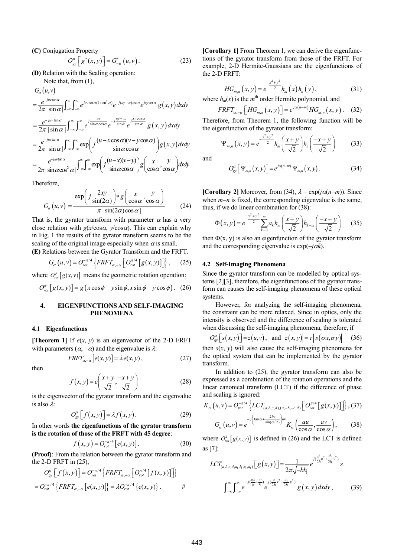**(C)** Conjugation Property

$$
O_{\rm gv}^{\alpha} \left[ g^*(x, y) \right] = G_{-\alpha}^*(u, v) \,. \tag{23}
$$

**(D)** Relation with the Scaling operation:

Note that, from (1),

$$
G_{\alpha}(u,v)
$$
\n
$$
= \frac{e^{-juv \tan \alpha}}{2\pi |\sin \alpha|} \int_{-\infty}^{\infty} \int_{-\infty}^{\infty} e^{juv \cot \alpha (1 + \tan^{2} \alpha)} e^{-j(uy + \alpha) \csc \alpha} e^{iyv \cot \alpha} g(x, y) dx dy
$$
\n
$$
= \frac{e^{-juv \tan \alpha}}{2\pi |\sin \alpha|} \int_{-\infty}^{\infty} \int_{-\infty}^{\infty} e^{j \frac{uv}{\sin \alpha \cos \alpha}} e^{-j \frac{uy + \alpha x}{\sin \alpha}} e^{j \frac{xy \cos \alpha}{\sin \alpha}} g(x, y) dx dy
$$
\n
$$
= \frac{e^{-juv \tan \alpha}}{2\pi |\sin \alpha|} \int_{-\infty}^{\infty} \int_{-\infty}^{\infty} \exp\left( j \frac{(u - x \cos \alpha)(v - y \cos \alpha)}{\sin \alpha \cos \alpha} \right) g(x, y) dx dy
$$
\n
$$
= \frac{e^{-juv \tan \alpha}}{2\pi |\sin \alpha \cos^{2} \alpha|} \int_{-\infty}^{\infty} \int_{-\infty}^{\infty} \exp\left( j \frac{(u - x)(v - y)}{\sin \alpha \cos \alpha} \right) g\left(\frac{x}{\cos \alpha}, \frac{y}{\cos \alpha} \right) dx dy.
$$

Therefore,

$$
|G_{\alpha}(u,v)| = \frac{\left|\exp\left(j\frac{2xy}{\sin(2\alpha)}\right) * g\left(\frac{x}{\cos\alpha}, \frac{y}{\cos\alpha}\right)\right|}{\pi |\sin(2\alpha)\cos\alpha|}
$$
(24)

That is, the gyrator transform with parameter  $\alpha$  has a very close relation with  $g(x/\cos\alpha, y/\cos\alpha)$ . This can explain why in Fig. 1 the results of the gyrator transform seems to be the scaling of the original image especially when  $\alpha$  is small.

**(E)** Relations between the Gyrator Transform and the FRFT.

$$
G_{\alpha}(u,v) = O_{rot}^{-\pi/4} \left\{ FRFT_{\alpha,-\alpha} \left[ O_{rot}^{\pi/4} \left[ g(x,y) \right] \right] \right\}, \qquad (25)
$$

where  $O_{rot}^{\phi}[g(x, y)]$  means the geometric rotation operation:

$$
O_{rot}^{\phi}\left[g(x,y)\right] = g\left(x\cos\phi - y\sin\phi, x\sin\phi + y\cos\phi\right). (26)
$$

### **4. EIGENFUNCTIONS AND SELF-IMAGING PHENOMENA**

### **4.1 Eigenfunctions**

**[Theorem 1]** If *e*(*x*, *y*) is an eigenvector of the 2-D FRFT with parameters  $(\alpha, -\alpha)$  and the eigenvalue is  $\lambda$ :

$$
FRFT_{\alpha,-\alpha}[e(x,y)] = \lambda e(x,y), \qquad (27)
$$

then

$$
f(x,y) = e\left(\frac{x+y}{\sqrt{2}}, \frac{-x+y}{\sqrt{2}}\right)
$$
 (28)

is the eigenvector of the gyrator transform and the eigenvalue is also  $\lambda$ :

$$
O_{\text{gv}}^{\alpha}\left[f\left(x,y\right)\right]=\lambda f\left(x,y\right). \tag{29}
$$

In other words **the eigenfunctions of the gyrator transform is the rotation of those of the FRFT with 45 degree**:

$$
f(x, y) = O_{rot}^{-\pi/4} \left[ e(x, y) \right]. \tag{30}
$$

**(Proof)**: From the relation between the gyrator transform and the 2-D FRFT in (25),

$$
O_{\text{gv}}^{\alpha}\left[f\left(x,y\right)\right]=O_{rot}^{-\pi/4}\left\{FRFT_{\alpha,-\alpha}\left[\left.O_{rot}^{\pi/4}\left[f\left(x,y\right)\right]\right]\right\}
$$
\n
$$
=O_{rot}^{-\pi/4}\left\{FRFT_{\alpha,-\alpha}\left[e\left(x,y\right)\right]\right\}=\lambda O_{rot}^{-\pi/4}\left\{e\left(x,y\right)\right\}.\qquad\#
$$

**[Corollary 1]** From Theorem 1, we can derive the eigenfunctions of the gyrator transform from those of the FRFT. For example, 2-D Hermite-Gaussians are the eigenfunctions of the 2-D FRFT:

$$
HG_{m,n}(x,y) = e^{-\frac{x^2 + y^2}{2}} h_m(x) h_n(y), \qquad (31)
$$

where  $h_m(x)$  is the  $m^{\text{th}}$  order Hermite polynomial, and

$$
FRFT_{\alpha,-\alpha}\left[HG_{m,n}(x,y)\right] = e^{j\alpha(n-m)}HG_{m,n}(x,y). \quad (32)
$$

Therefore, from Theorem 1, the following function will be the eigenfunction of the gyrator transform:

$$
\Psi_{m,n}(x,y) = e^{-\frac{x^2 + y^2}{2}} h_m\left(\frac{x + y}{\sqrt{2}}\right) h_n\left(\frac{-x + y}{\sqrt{2}}\right)
$$
 (33)

and

$$
O_{\text{gy}}^{\alpha}\left[\Psi_{m,n}\left(x,y\right)\right] = e^{j\alpha\left(n-m\right)}\Psi_{m,n}\left(x,y\right). \tag{34}
$$

**[Corollary 2]** Moreover, from (34),  $\lambda = \exp(j\alpha(n-m))$ . Since when *m−n* is fixed, the corresponding eigenvalue is the same, thus, if we do linear combination for (38):

$$
\Phi(x, y) = e^{-\frac{x^2 + y^2}{2}} \sum_{k=0}^{m} a_k h_m \left( \frac{x + y}{\sqrt{2}} \right) h_{k-m} \left( \frac{-x + y}{\sqrt{2}} \right) \tag{35}
$$

then  $\Phi(x, y)$  is also an eigenfunction of the gyrator transform and the corresponding eigenvalue is  $exp(-j\alpha k)$ .

### **4.2 Self-Imaging Phenomena**

Since the gyrator transform can be modelled by optical systems [2][3], therefore, the eigenfunctions of the gyrator transform can causes the self-imaging phenomena of these optical systems.

However, for analyzing the self-imaging phenomena, the constraint can be more relaxed. Since in optics, only the intensity is observed and the difference of scaling is tolerated when discussing the self-imaging phenomena, therefore, if

$$
O_{\text{gv}}^{\alpha}\left[s(x,y)\right] = z(u,v), \text{ and } \left|z(x,y)\right| = \tau\left|s(\sigma x, \sigma y)\right| \tag{36}
$$

then *s*(*x*, *y*) will also cause the self-imaging phenomena for the optical system that can be implemented by the gyrator transform.

In addition to (25), the gyrator transform can also be expressed as a combination of the rotation operations and the linear canonical transform (LCT) if the difference of phase and scaling is ignored:

$$
K_{\alpha}(u,v) = O_{rot}^{-\pi/4} \left\{ LCT_{(a,b,c,d),(a,-b,-c,d)} \left[ O_{rot}^{\pi/4} \left[ g(x,y) \right] \right] \right\}, (37)
$$

$$
G_{\alpha}(u,v) = e^{-\int \left( \tan \alpha + \frac{2bc}{\sin(\alpha/2)} \right) uv} K_{\alpha} \left( \frac{au}{\cos \alpha}, \frac{av}{\cos \alpha} \right), (38)
$$

where  $O_{rot}^{\phi}[g(x, y)]$  is defined in (26) and the LCT is defined as [7]:

$$
LCT_{(a,b,c,d,a_1,b_1,c_1,d_1)}[g(x,y)] = \frac{1}{2\pi\sqrt{-bb_1}}e^{j(\frac{d}{2b}u^2 + \frac{d_1}{2b_1}v^2)} \times
$$

$$
\int_{-\infty}^{\infty} \int_{-\infty}^{\infty} e^{-j(\frac{ux}{b} + \frac{yy}{b_1})} e^{j(\frac{a}{2b}x^2 + \frac{a_1}{2b_1}y^2)} g(x,y) dx dy, \qquad (39)
$$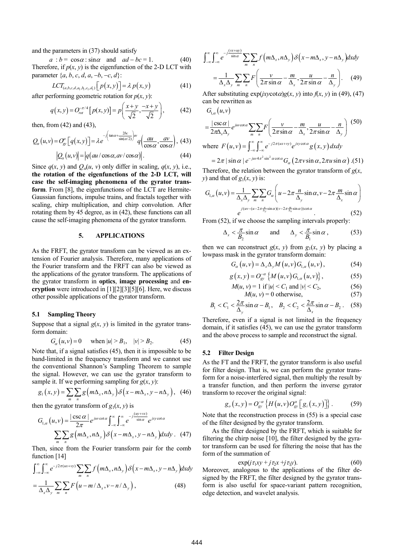and the parameters in (37) should satisfy

 $a : b = \cos \alpha : \sin \alpha$  and  $ad - bc = 1$ . (40) Therefore, if  $p(x, y)$  is the eigenfunction of the 2-D LCT with parameter  $\{a, b, c, d, a, -b, -c, d\}$ :

$$
LCT_{(a,b,c,d,a_1,b_1,c_1,d_1)}[p(x,y)] = \lambda p(x,y)
$$
\n(41)

after performing geometric rotation for  $p(x, y)$ :

$$
q(x, y) = O_{rot}^{-\pi/4} [p(x, y)] = p\left(\frac{x + y}{\sqrt{2}}, \frac{-x + y}{\sqrt{2}}\right),
$$
 (42)

then, from (42) and (43),

$$
Q_{\alpha}(u,v) = O_{\text{gv}}^{\alpha} \left[ q(x,y) \right] = \lambda e^{-j \left( \tan \alpha + \frac{2bc}{\sin(\alpha/2)} \right)uv} q \left( \frac{au}{\cos \alpha}, \frac{av}{\cos \alpha} \right), \tag{43}
$$

$$
|Q_{\alpha}(u,v)| = |q(au/\cos\alpha, av/\cos\alpha)|. \tag{44}
$$

Since  $q(x, y)$  and  $Q_a(u, v)$  only differ in scaling,  $q(x, y)$ , i.e., **the rotation of the eigenfunctions of the 2-D LCT, will case the self-imaging phenomena of the gyrator transform**. From [8], the eigenfunctions of the LCT are Hermite-Gaussian functions, impulse trains, and fractals together with scaling, chirp multiplication, and chirp convolution. After rotating them by 45 degree, as in (42), these functions can all cause the self-imaging phenomena of the gyrator transform.

### **5. APPLICATIONS**

As the FRFT, the gyrator transform can be viewed as an extension of Fourier analysis. Therefore, many applications of the Fourier transform and the FRFT can also be viewed as the applications of the gyrator transform. The applications of the gyrator transform in **optics**, **image processing** and **encryption** were introduced in [1][2][3][5][6]. Here, we discuss other possible applications of the gyrator transform.

### **5.1 Sampling Theory**

Suppose that a signal  $g(x, y)$  is limited in the gyrator transform domain:

$$
G_{\alpha}(u, v) = 0 \quad \text{when } |u| > B_1, \quad |v| > B_2. \tag{45}
$$

Note that, if a signal satisfies (45), then it is impossible to be band-limited in the frequency transform and we cannot use the conventional Shannon's Sampling Theorem to sample the signal. However, we can use the gyrator transform to sample it. If we performing sampling for  $g(x, y)$ :

$$
g_1(x, y) = \sum_{m} \sum_{n} g\left(m\Delta_x, n\Delta_y\right) \delta\left(x - m\Delta_x, y - n\Delta_y\right), \quad (46)
$$

then the gyrator transform of  $g_1(x, y)$  is

$$
G_{1,\alpha}(u,v) = \frac{|\csc \alpha|}{2\pi} e^{juv \cot \alpha} \int_{-\infty}^{\infty} \int_{-\infty}^{\infty} e^{-j\frac{(uy+vx)}{\sin \alpha}} e^{jxy \cot \alpha}
$$

$$
\sum_{m} \sum_{n} g(m\Delta_x, n\Delta_y) \delta\left(x - m\Delta_x, y - n\Delta_y\right) dxdy. \quad (47)
$$

Then, since from the Fourier transform pair for the comb function [14]

$$
\int_{-\infty}^{\infty} \int_{-\infty}^{\infty} e^{-j2\pi(ux+yy)} \sum_{m} \sum_{n} f\left(m\Delta_{x}, n\Delta_{y}\right) \delta\left(x - m\Delta_{x}, y - n\Delta_{y}\right) dx dy
$$

$$
= \frac{1}{\Delta_{x}\Delta_{y}} \sum_{m} \sum_{n} F\left(u - m/\Delta_{x}, v - n/\Delta_{y}\right), \tag{48}
$$

$$
\int_{-\infty}^{\infty} \int_{-\infty}^{\infty} e^{-j\frac{(vx+uy)}{\sin\alpha}} \sum_{m} \sum_{n} f\left(m\Delta_x, n\Delta_y\right) \delta\left(x - m\Delta_x, y - n\Delta_y\right) dxdy
$$

$$
= \frac{1}{\Delta_x \Delta_y} \sum_{m} \sum_{n} F\left(\frac{v}{2\pi \sin\alpha} - \frac{m}{\Delta_x}, \frac{u}{2\pi \sin\alpha} - \frac{n}{\Delta_y}\right). \tag{49}
$$

After substituting  $exp(ixy \cot \alpha)g(x, y)$  into  $f(x, y)$  in (49), (47) can be rewritten as

$$
G_{1,\alpha}(u,v)
$$
\n
$$
= \frac{|\csc \alpha|}{2\pi \Delta_x \Delta_y} e^{iuv \cot \alpha} \sum_{m} \sum_{n} F\left(\frac{v}{2\pi \sin \alpha} - \frac{m}{\Delta_x}, \frac{u}{2\pi \sin \alpha} - \frac{n}{\Delta_y}\right) (50)
$$
\nwhere  $F(u,v) = \int_{-\infty}^{\infty} \int_{-\infty}^{\infty} e^{-j2\pi(ux+vy)} e^{ixy \cot \alpha} g(x, y) dx dy$   
\n
$$
= 2\pi |\sin \alpha| e^{-juv 4\pi^2 \sin^2 \alpha \cot \alpha} G_{\alpha}(2\pi v \sin \alpha, 2\pi u \sin \alpha) (51)
$$

Therefore, the relation between the gyrator transform of  $g(x, \theta)$ *y*) and that of  $g_1(x, y)$  is:

$$
G_{1,\alpha}(u,v) = \frac{1}{\Delta_x \Delta_y} \sum_m \sum_n G_\alpha \left( u - 2\pi \frac{n}{\Delta_y} \sin \alpha, v - 2\pi \frac{m}{\Delta_x} \sin \alpha \right)
$$

$$
e^{j(uv - (u - 2\pi \frac{n}{\Delta_y} \sin \alpha)(v - 2\pi \frac{m}{\Delta_x} \sin \alpha)\cot \alpha}.
$$
 (52)

From  $(52)$ , if we choose the sampling intervals properly:

$$
\Delta_x < \frac{\pi}{B_2} \sin \alpha \qquad \text{and} \qquad \Delta_y < \frac{\pi}{B_1} \sin \alpha \,, \tag{53}
$$

then we can reconstruct  $g(x, y)$  from  $g_1(x, y)$  by placing a lowpass mask in the gyrator transform domain:

$$
G_{\alpha}(u,v) = \Delta_x \Delta_y M(u,v) G_{1,\alpha}(u,v), \qquad (54)
$$

$$
g(x, y) = O_{gy}^{-\alpha} \{ M(u, v) G_{1,\alpha}(u, v) \},
$$
 (55)

$$
M(u, v) = 1 \text{ if } |u| < C_1 \text{ and } |v| < C_2,\tag{56}
$$

$$
M(u, v) = 0 \text{ otherwise},\tag{57}
$$

$$
B_1 < C_1 < \frac{2\pi}{\Delta_y} \sin \alpha - B_1, \quad B_2 < C_2 < \frac{2\pi}{\Delta_x} \sin \alpha - B_2 \,. \tag{58}
$$

Therefore, even if a signal is not limited in the frequency domain, if it satisfies (45), we can use the gyrator transform and the above process to sample and reconstruct the signal.

#### **5.2 Filter Design**

As the FT and the FRFT, the gyrator transform is also useful for filter design. That is, we can perform the gyrator transform for a noise-interfered signal, then multiply the result by a transfer function, and then perform the inverse gyrator transform to recover the original signal:

$$
g_o(x, y) = O_{\text{gv}}^{-\alpha} \left\{ H(u, v) O_{\text{gv}}^{\alpha} \left[ g_i(x, y) \right] \right\}. \tag{59}
$$

Note that the reconstruction process in (55) is a special case of the filter designed by the gyrator transform.

As the filter designed by the FRFT, which is suitable for filtering the chirp noise [10], the filter designed by the gyrator transform can be used for filtering the noise that has the form of the summation of

$$
\exp(j\,\tau_1xy + j\,\tau_2x + j\,\tau_3y). \tag{60}
$$

Moreover, analogous to the applications of the filter designed by the FRFT, the filter designed by the gyrator transform is also useful for space-variant pattern recognition, edge detection, and wavelet analysis.